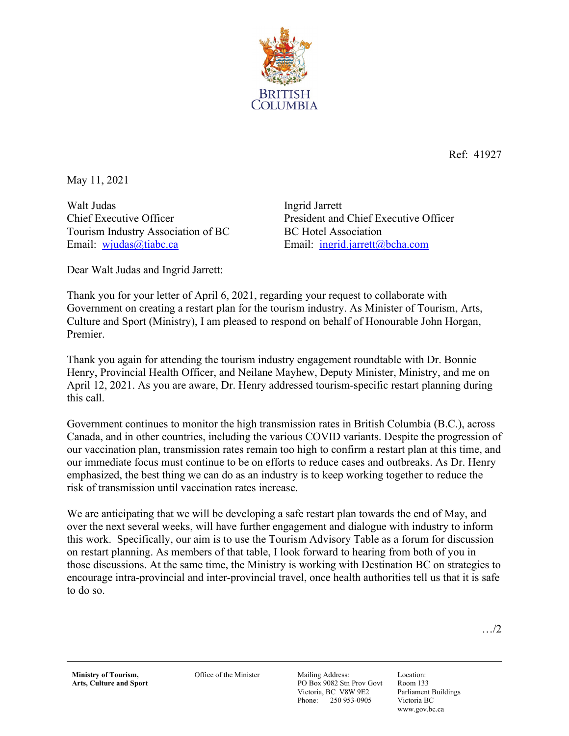

Ref: 41927

May 11, 2021

Walt Judas Chief Executive Officer Tourism Industry Association of BC Email: [wjudas@tiabc.ca](mailto:wjudas@tiabc.ca)

Ingrid Jarrett President and Chief Executive Officer BC Hotel Association Email: [ingrid.jarrett@bcha.com](mailto:ingrid.jarrett@bcha.com)

Dear Walt Judas and Ingrid Jarrett:

Thank you for your letter of April 6, 2021, regarding your request to collaborate with Government on creating a restart plan for the tourism industry. As Minister of Tourism, Arts, Culture and Sport (Ministry), I am pleased to respond on behalf of Honourable John Horgan, Premier.

Thank you again for attending the tourism industry engagement roundtable with Dr. Bonnie Henry, Provincial Health Officer, and Neilane Mayhew, Deputy Minister, Ministry, and me on April 12, 2021. As you are aware, Dr. Henry addressed tourism-specific restart planning during this call.

Government continues to monitor the high transmission rates in British Columbia (B.C.), across Canada, and in other countries, including the various COVID variants. Despite the progression of our vaccination plan, transmission rates remain too high to confirm a restart plan at this time, and our immediate focus must continue to be on efforts to reduce cases and outbreaks. As Dr. Henry emphasized, the best thing we can do as an industry is to keep working together to reduce the risk of transmission until vaccination rates increase.

We are anticipating that we will be developing a safe restart plan towards the end of May, and over the next several weeks, will have further engagement and dialogue with industry to inform this work. Specifically, our aim is to use the Tourism Advisory Table as a forum for discussion on restart planning. As members of that table, I look forward to hearing from both of you in those discussions. At the same time, the Ministry is working with Destination BC on strategies to encourage intra-provincial and inter-provincial travel, once health authorities tell us that it is safe to do so.

…/2

Office of the Minister Mailing Address:

PO Box 9082 Stn Prov Govt Victoria, BC V8W 9E2 Phone: 250 953-0905

Location: Room 133 Parliament Buildings Victoria BC www.gov.bc.ca